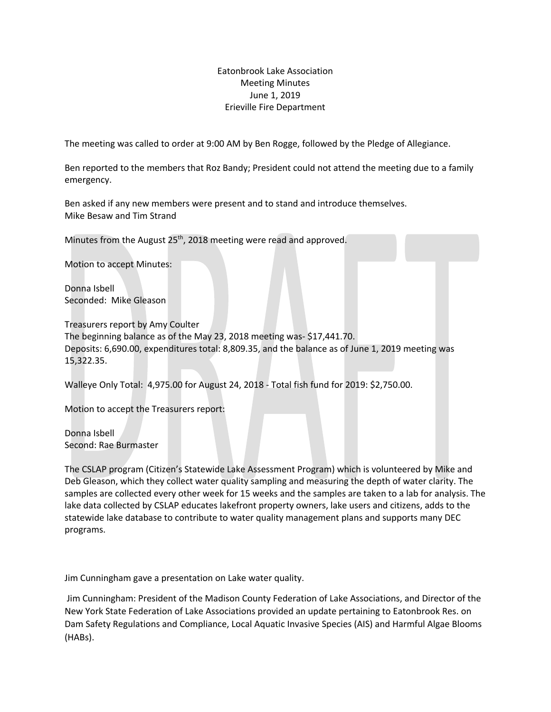## Eatonbrook Lake Association Meeting Minutes June 1, 2019 Erieville Fire Department

The meeting was called to order at 9:00 AM by Ben Rogge, followed by the Pledge of Allegiance.

Ben reported to the members that Roz Bandy; President could not attend the meeting due to a family emergency.

Ben asked if any new members were present and to stand and introduce themselves. Mike Besaw and Tim Strand

Minutes from the August 25<sup>th</sup>, 2018 meeting were read and approved.

Motion to accept Minutes:

Donna Isbell Seconded: Mike Gleason

Treasurers report by Amy Coulter The beginning balance as of the May 23, 2018 meeting was- \$17,441.70. Deposits: 6,690.00, expenditures total: 8,809.35, and the balance as of June 1, 2019 meeting was 15,322.35.

Walleye Only Total: 4,975.00 for August 24, 2018 - Total fish fund for 2019: \$2,750.00.

Motion to accept the Treasurers report:

Donna Isbell Second: Rae Burmaster

The CSLAP program (Citizen's Statewide Lake Assessment Program) which is volunteered by Mike and Deb Gleason, which they collect water quality sampling and measuring the depth of water clarity. The samples are collected every other week for 15 weeks and the samples are taken to a lab for analysis. The lake data collected by CSLAP educates lakefront property owners, lake users and citizens, adds to the statewide lake database to contribute to water quality management plans and supports many DEC programs.

Jim Cunningham gave a presentation on Lake water quality.

Jim Cunningham: President of the Madison County Federation of Lake Associations, and Director of the New York State Federation of Lake Associations provided an update pertaining to Eatonbrook Res. on Dam Safety Regulations and Compliance, Local Aquatic Invasive Species (AIS) and Harmful Algae Blooms (HABs).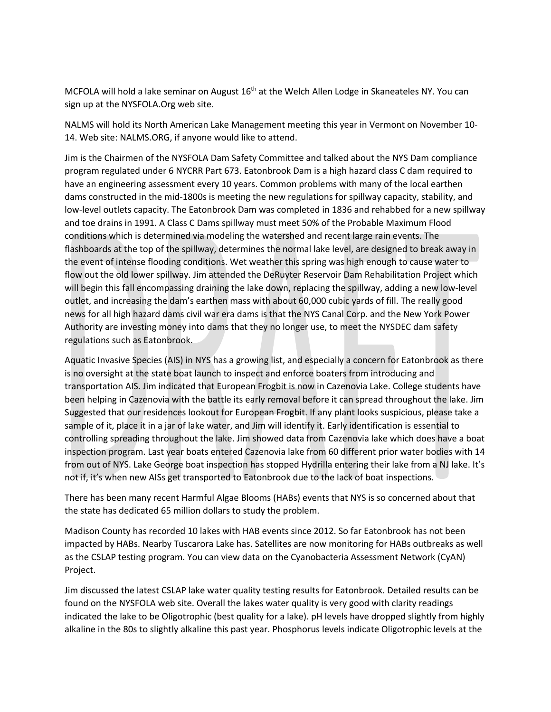MCFOLA will hold a lake seminar on August 16<sup>th</sup> at the Welch Allen Lodge in Skaneateles NY. You can sign up at the NYSFOLA.Org web site.

NALMS will hold its North American Lake Management meeting this year in Vermont on November 10- 14. Web site: NALMS.ORG, if anyone would like to attend.

Jim is the Chairmen of the NYSFOLA Dam Safety Committee and talked about the NYS Dam compliance program regulated under 6 NYCRR Part 673. Eatonbrook Dam is a high hazard class C dam required to have an engineering assessment every 10 years. Common problems with many of the local earthen dams constructed in the mid-1800s is meeting the new regulations for spillway capacity, stability, and low-level outlets capacity. The Eatonbrook Dam was completed in 1836 and rehabbed for a new spillway and toe drains in 1991. A Class C Dams spillway must meet 50% of the Probable Maximum Flood conditions which is determined via modeling the watershed and recent large rain events. The flashboards at the top of the spillway, determines the normal lake level, are designed to break away in the event of intense flooding conditions. Wet weather this spring was high enough to cause water to flow out the old lower spillway. Jim attended the DeRuyter Reservoir Dam Rehabilitation Project which will begin this fall encompassing draining the lake down, replacing the spillway, adding a new low-level outlet, and increasing the dam's earthen mass with about 60,000 cubic yards of fill. The really good news for all high hazard dams civil war era dams is that the NYS Canal Corp. and the New York Power Authority are investing money into dams that they no longer use, to meet the NYSDEC dam safety regulations such as Eatonbrook.

Aquatic Invasive Species (AIS) in NYS has a growing list, and especially a concern for Eatonbrook as there is no oversight at the state boat launch to inspect and enforce boaters from introducing and transportation AIS. Jim indicated that European Frogbit is now in Cazenovia Lake. College students have been helping in Cazenovia with the battle its early removal before it can spread throughout the lake. Jim Suggested that our residences lookout for European Frogbit. If any plant looks suspicious, please take a sample of it, place it in a jar of lake water, and Jim will identify it. Early identification is essential to controlling spreading throughout the lake. Jim showed data from Cazenovia lake which does have a boat inspection program. Last year boats entered Cazenovia lake from 60 different prior water bodies with 14 from out of NYS. Lake George boat inspection has stopped Hydrilla entering their lake from a NJ lake. It's not if, it's when new AISs get transported to Eatonbrook due to the lack of boat inspections.

There has been many recent Harmful Algae Blooms (HABs) events that NYS is so concerned about that the state has dedicated 65 million dollars to study the problem.

Madison County has recorded 10 lakes with HAB events since 2012. So far Eatonbrook has not been impacted by HABs. Nearby Tuscarora Lake has. Satellites are now monitoring for HABs outbreaks as well as the CSLAP testing program. You can view data on the Cyanobacteria Assessment Network (CyAN) Project.

Jim discussed the latest CSLAP lake water quality testing results for Eatonbrook. Detailed results can be found on the NYSFOLA web site. Overall the lakes water quality is very good with clarity readings indicated the lake to be Oligotrophic (best quality for a lake). pH levels have dropped slightly from highly alkaline in the 80s to slightly alkaline this past year. Phosphorus levels indicate Oligotrophic levels at the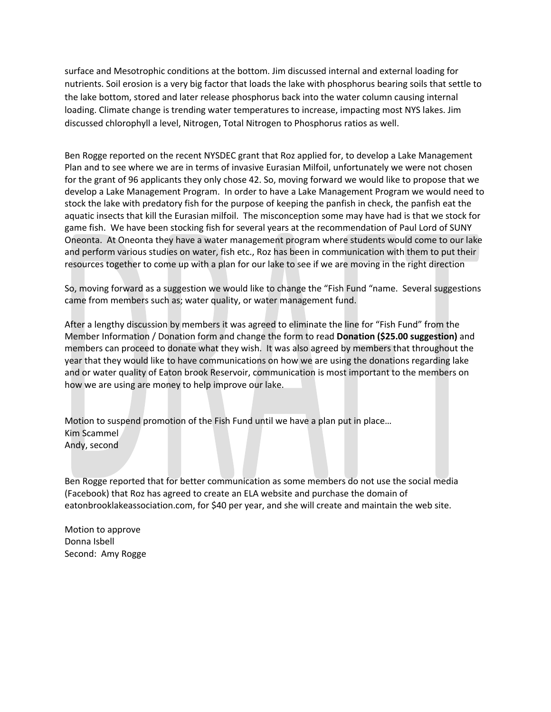surface and Mesotrophic conditions at the bottom. Jim discussed internal and external loading for nutrients. Soil erosion is a very big factor that loads the lake with phosphorus bearing soils that settle to the lake bottom, stored and later release phosphorus back into the water column causing internal loading. Climate change is trending water temperatures to increase, impacting most NYS lakes. Jim discussed chlorophyll a level, Nitrogen, Total Nitrogen to Phosphorus ratios as well.

Ben Rogge reported on the recent NYSDEC grant that Roz applied for, to develop a Lake Management Plan and to see where we are in terms of invasive Eurasian Milfoil, unfortunately we were not chosen for the grant of 96 applicants they only chose 42. So, moving forward we would like to propose that we develop a Lake Management Program. In order to have a Lake Management Program we would need to stock the lake with predatory fish for the purpose of keeping the panfish in check, the panfish eat the aquatic insects that kill the Eurasian milfoil. The misconception some may have had is that we stock for game fish. We have been stocking fish for several years at the recommendation of Paul Lord of SUNY Oneonta. At Oneonta they have a water management program where students would come to our lake and perform various studies on water, fish etc., Roz has been in communication with them to put their resources together to come up with a plan for our lake to see if we are moving in the right direction

So, moving forward as a suggestion we would like to change the "Fish Fund "name. Several suggestions came from members such as; water quality, or water management fund.

After a lengthy discussion by members it was agreed to eliminate the line for "Fish Fund" from the Member Information / Donation form and change the form to read **Donation (\$25.00 suggestion)** and members can proceed to donate what they wish. It was also agreed by members that throughout the year that they would like to have communications on how we are using the donations regarding lake and or water quality of Eaton brook Reservoir, communication is most important to the members on how we are using are money to help improve our lake.

Motion to suspend promotion of the Fish Fund until we have a plan put in place… Kim Scammel Andy, second

Ben Rogge reported that for better communication as some members do not use the social media (Facebook) that Roz has agreed to create an ELA website and purchase the domain of eatonbrooklakeassociation.com, for \$40 per year, and she will create and maintain the web site.

Motion to approve Donna Isbell Second: Amy Rogge